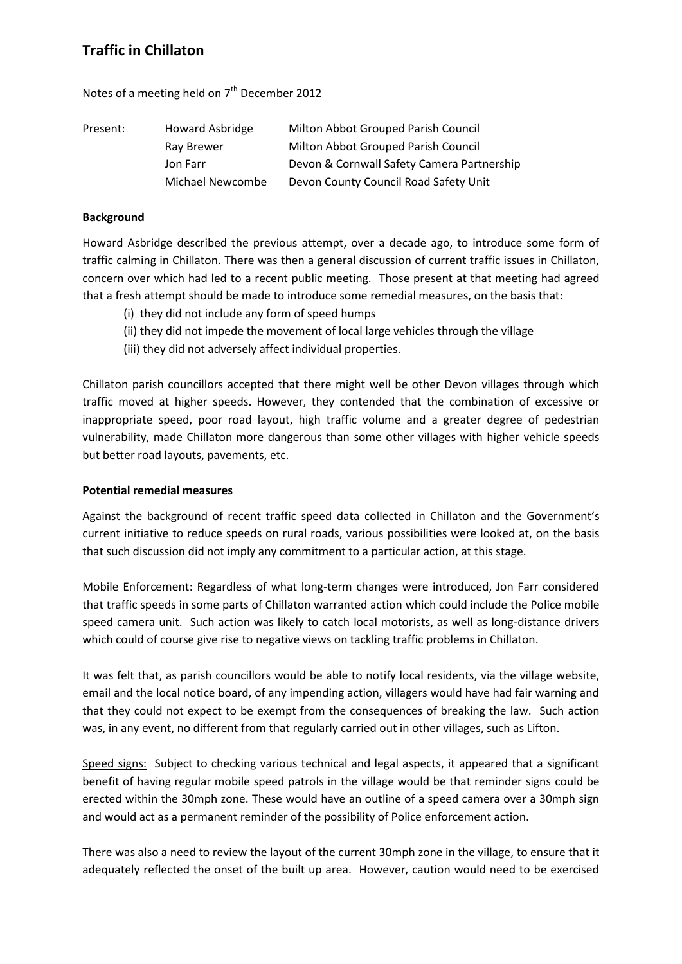## **Traffic in Chillaton**

Notes of a meeting held on 7<sup>th</sup> December 2012

| Present: | Howard Asbridge  | Milton Abbot Grouped Parish Council        |
|----------|------------------|--------------------------------------------|
|          | Ray Brewer       | Milton Abbot Grouped Parish Council        |
|          | Jon Farr         | Devon & Cornwall Safety Camera Partnership |
|          | Michael Newcombe | Devon County Council Road Safety Unit      |

## **Background**

Howard Asbridge described the previous attempt, over a decade ago, to introduce some form of traffic calming in Chillaton. There was then a general discussion of current traffic issues in Chillaton, concern over which had led to a recent public meeting. Those present at that meeting had agreed that a fresh attempt should be made to introduce some remedial measures, on the basis that:

- (i) they did not include any form of speed humps
- (ii) they did not impede the movement of local large vehicles through the village
- (iii) they did not adversely affect individual properties.

Chillaton parish councillors accepted that there might well be other Devon villages through which traffic moved at higher speeds. However, they contended that the combination of excessive or inappropriate speed, poor road layout, high traffic volume and a greater degree of pedestrian vulnerability, made Chillaton more dangerous than some other villages with higher vehicle speeds but better road layouts, pavements, etc.

## **Potential remedial measures**

Against the background of recent traffic speed data collected in Chillaton and the Government's current initiative to reduce speeds on rural roads, various possibilities were looked at, on the basis that such discussion did not imply any commitment to a particular action, at this stage.

Mobile Enforcement: Regardless of what long-term changes were introduced, Jon Farr considered that traffic speeds in some parts of Chillaton warranted action which could include the Police mobile speed camera unit. Such action was likely to catch local motorists, as well as long-distance drivers which could of course give rise to negative views on tackling traffic problems in Chillaton.

It was felt that, as parish councillors would be able to notify local residents, via the village website, email and the local notice board, of any impending action, villagers would have had fair warning and that they could not expect to be exempt from the consequences of breaking the law. Such action was, in any event, no different from that regularly carried out in other villages, such as Lifton.

Speed signs: Subject to checking various technical and legal aspects, it appeared that a significant benefit of having regular mobile speed patrols in the village would be that reminder signs could be erected within the 30mph zone. These would have an outline of a speed camera over a 30mph sign and would act as a permanent reminder of the possibility of Police enforcement action.

There was also a need to review the layout of the current 30mph zone in the village, to ensure that it adequately reflected the onset of the built up area. However, caution would need to be exercised